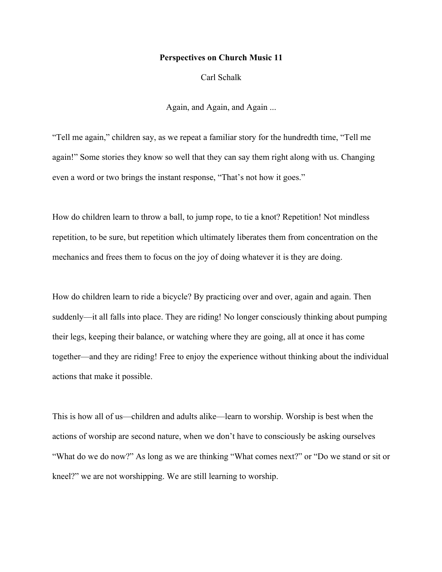## **Perspectives on Church Music 11**

Carl Schalk

Again, and Again, and Again ...

"Tell me again," children say, as we repeat a familiar story for the hundredth time, "Tell me again!" Some stories they know so well that they can say them right along with us. Changing even a word or two brings the instant response, "That's not how it goes."

How do children learn to throw a ball, to jump rope, to tie a knot? Repetition! Not mindless repetition, to be sure, but repetition which ultimately liberates them from concentration on the mechanics and frees them to focus on the joy of doing whatever it is they are doing.

How do children learn to ride a bicycle? By practicing over and over, again and again. Then suddenly—it all falls into place. They are riding! No longer consciously thinking about pumping their legs, keeping their balance, or watching where they are going, all at once it has come together—and they are riding! Free to enjoy the experience without thinking about the individual actions that make it possible.

This is how all of us—children and adults alike—learn to worship. Worship is best when the actions of worship are second nature, when we don't have to consciously be asking ourselves "What do we do now?" As long as we are thinking "What comes next?" or "Do we stand or sit or kneel?" we are not worshipping. We are still learning to worship.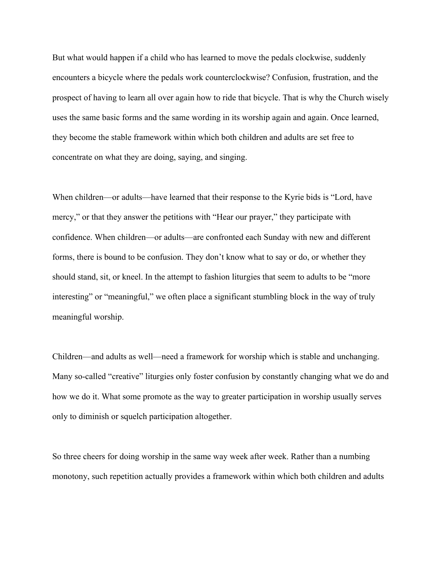But what would happen if a child who has learned to move the pedals clockwise, suddenly encounters a bicycle where the pedals work counterclockwise? Confusion, frustration, and the prospect of having to learn all over again how to ride that bicycle. That is why the Church wisely uses the same basic forms and the same wording in its worship again and again. Once learned, they become the stable framework within which both children and adults are set free to concentrate on what they are doing, saying, and singing.

When children—or adults—have learned that their response to the Kyrie bids is "Lord, have mercy," or that they answer the petitions with "Hear our prayer," they participate with confidence. When children—or adults—are confronted each Sunday with new and different forms, there is bound to be confusion. They don't know what to say or do, or whether they should stand, sit, or kneel. In the attempt to fashion liturgies that seem to adults to be "more interesting" or "meaningful," we often place a significant stumbling block in the way of truly meaningful worship.

Children—and adults as well—need a framework for worship which is stable and unchanging. Many so-called "creative" liturgies only foster confusion by constantly changing what we do and how we do it. What some promote as the way to greater participation in worship usually serves only to diminish or squelch participation altogether.

So three cheers for doing worship in the same way week after week. Rather than a numbing monotony, such repetition actually provides a framework within which both children and adults